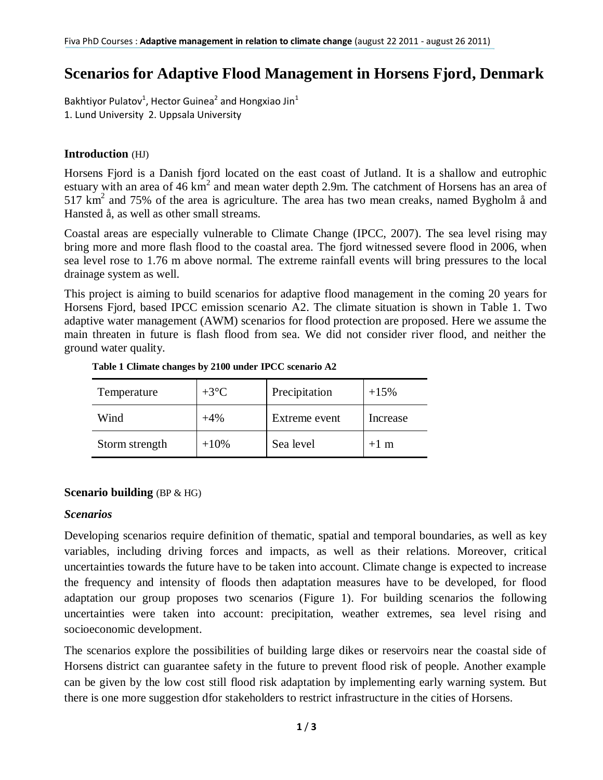# **Scenarios for Adaptive Flood Management in Horsens Fjord, Denmark**

Bakhtiyor Pulatov<sup>1</sup>, Hector Guinea<sup>2</sup> and Hongxiao Jin<sup>1</sup> 1. Lund University 2. Uppsala University

## **Introduction** (HJ)

Horsens Fjord is a Danish fjord located on the east coast of Jutland. It is a shallow and eutrophic estuary with an area of 46  $km^2$  and mean water depth 2.9m. The catchment of Horsens has an area of  $517 \text{ km}^2$  and 75% of the area is agriculture. The area has two mean creaks, named Bygholm å and Hansted å, as well as other small streams.

Coastal areas are especially vulnerable to Climate Change (IPCC, 2007). The sea level rising may bring more and more flash flood to the coastal area. The fjord witnessed severe flood in 2006, when sea level rose to 1.76 m above normal. The extreme rainfall events will bring pressures to the local drainage system as well.

This project is aiming to build scenarios for adaptive flood management in the coming 20 years for Horsens Fjord, based IPCC emission scenario A2. The climate situation is shown in Table 1. Two adaptive water management (AWM) scenarios for flood protection are proposed. Here we assume the main threaten in future is flash flood from sea. We did not consider river flood, and neither the ground water quality.

| Temperature    | $+3$ °C | Precipitation | $+15%$   |
|----------------|---------|---------------|----------|
| Wind           | $+4%$   | Extreme event | Increase |
| Storm strength | $+10%$  | Sea level     | $+1$ m   |

#### **Table 1 Climate changes by 2100 under IPCC scenario A2**

## **Scenario building** (BP & HG)

## *Scenarios*

Developing scenarios require definition of thematic, spatial and temporal boundaries, as well as key variables, including driving forces and impacts, as well as their relations. Moreover, critical uncertainties towards the future have to be taken into account. Climate change is expected to increase the frequency and intensity of floods then adaptation measures have to be developed, for flood adaptation our group proposes two scenarios (Figure 1). For building scenarios the following uncertainties were taken into account: precipitation, weather extremes, sea level rising and socioeconomic development.

The scenarios explore the possibilities of building large dikes or reservoirs near the coastal side of Horsens district can guarantee safety in the future to prevent flood risk of people. Another example can be given by the low cost still flood risk adaptation by implementing early warning system. But there is one more suggestion dfor stakeholders to restrict infrastructure in the cities of Horsens.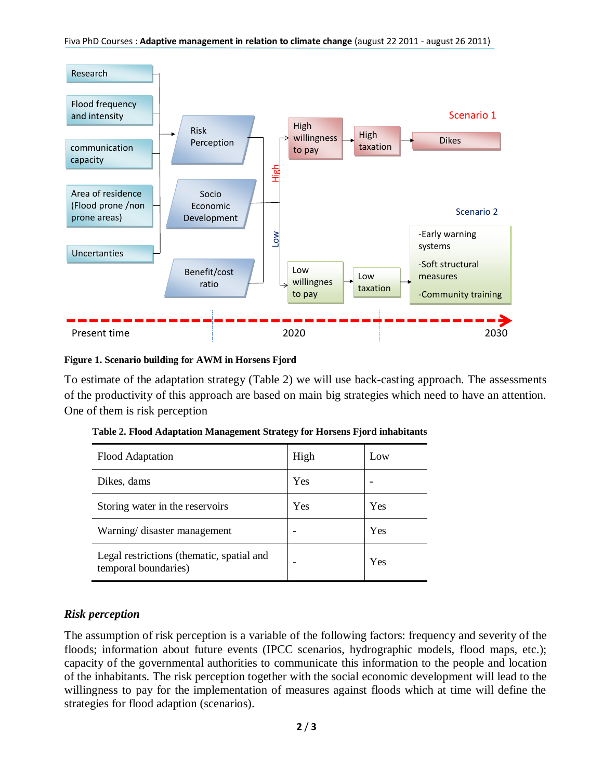



#### **Figure 1. Scenario building for AWM in Horsens Fjord**

To estimate of the adaptation strategy (Table 2) we will use back-casting approach. The assessments of the productivity of this approach are based on main big strategies which need to have an attention. One of them is risk perception

| Flood Adaptation                                                  | High | Low |
|-------------------------------------------------------------------|------|-----|
| Dikes, dams                                                       | Yes  |     |
| Storing water in the reservoirs                                   | Yes  | Yes |
| Warning/ disaster management                                      |      | Yes |
| Legal restrictions (thematic, spatial and<br>temporal boundaries) |      | Yes |

## *Risk perception*

The assumption of risk perception is a variable of the following factors: frequency and severity of the floods; information about future events (IPCC scenarios, hydrographic models, flood maps, etc.); capacity of the governmental authorities to communicate this information to the people and location of the inhabitants. The risk perception together with the social economic development will lead to the willingness to pay for the implementation of measures against floods which at time will define the strategies for flood adaption (scenarios).